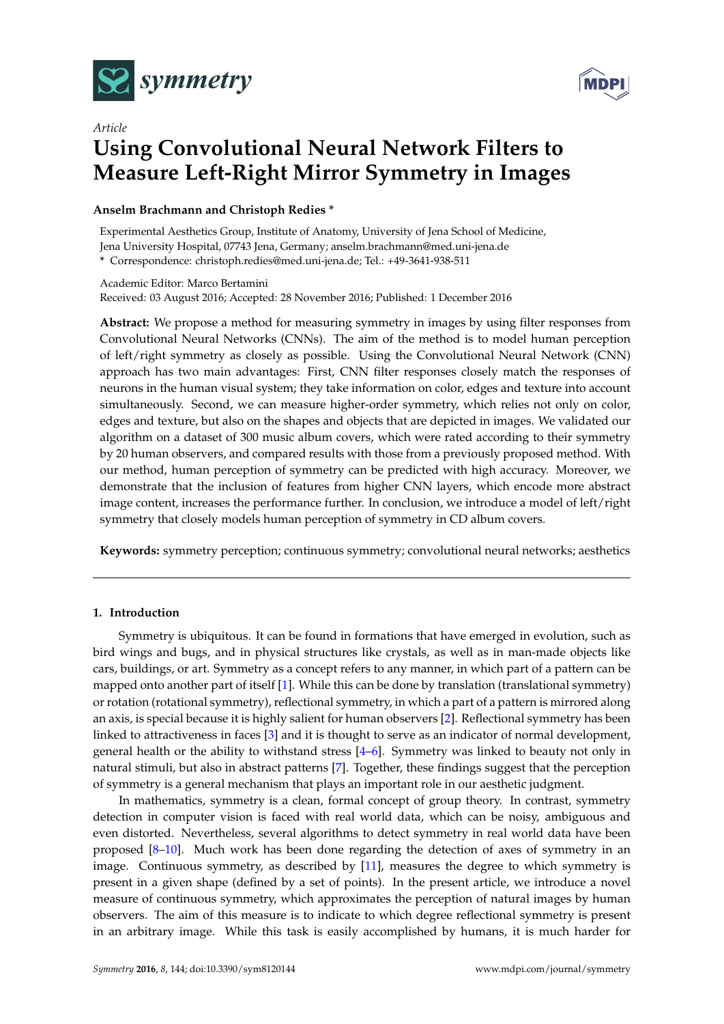

*Article*



# **Using Convolutional Neural Network Filters to Measure Left-Right Mirror Symmetry in Images**

# **Anselm Brachmann and Christoph Redies \***

Experimental Aesthetics Group, Institute of Anatomy, University of Jena School of Medicine, Jena University Hospital, 07743 Jena, Germany; anselm.brachmann@med.uni-jena.de **\*** Correspondence: christoph.redies@med.uni-jena.de; Tel.: +49-3641-938-511

Academic Editor: Marco Bertamini

Received: 03 August 2016; Accepted: 28 November 2016; Published: 1 December 2016

**Abstract:** We propose a method for measuring symmetry in images by using filter responses from Convolutional Neural Networks (CNNs). The aim of the method is to model human perception of left/right symmetry as closely as possible. Using the Convolutional Neural Network (CNN) approach has two main advantages: First, CNN filter responses closely match the responses of neurons in the human visual system; they take information on color, edges and texture into account simultaneously. Second, we can measure higher-order symmetry, which relies not only on color, edges and texture, but also on the shapes and objects that are depicted in images. We validated our algorithm on a dataset of 300 music album covers, which were rated according to their symmetry by 20 human observers, and compared results with those from a previously proposed method. With our method, human perception of symmetry can be predicted with high accuracy. Moreover, we demonstrate that the inclusion of features from higher CNN layers, which encode more abstract image content, increases the performance further. In conclusion, we introduce a model of left/right symmetry that closely models human perception of symmetry in CD album covers.

**Keywords:** symmetry perception; continuous symmetry; convolutional neural networks; aesthetics

## **1. Introduction**

Symmetry is ubiquitous. It can be found in formations that have emerged in evolution, such as bird wings and bugs, and in physical structures like crystals, as well as in man-made objects like cars, buildings, or art. Symmetry as a concept refers to any manner, in which part of a pattern can be mapped onto another part of itself [\[1\]](#page-8-0). While this can be done by translation (translational symmetry) or rotation (rotational symmetry), reflectional symmetry, in which a part of a pattern is mirrored along an axis, is special because it is highly salient for human observers [\[2\]](#page-8-1). Reflectional symmetry has been linked to attractiveness in faces [\[3\]](#page-8-2) and it is thought to serve as an indicator of normal development, general health or the ability to withstand stress [\[4–](#page-8-3)[6\]](#page-8-4). Symmetry was linked to beauty not only in natural stimuli, but also in abstract patterns [\[7\]](#page-8-5). Together, these findings suggest that the perception of symmetry is a general mechanism that plays an important role in our aesthetic judgment.

In mathematics, symmetry is a clean, formal concept of group theory. In contrast, symmetry detection in computer vision is faced with real world data, which can be noisy, ambiguous and even distorted. Nevertheless, several algorithms to detect symmetry in real world data have been proposed [\[8–](#page-8-6)[10\]](#page-8-7). Much work has been done regarding the detection of axes of symmetry in an image. Continuous symmetry, as described by [\[11\]](#page-8-8), measures the degree to which symmetry is present in a given shape (defined by a set of points). In the present article, we introduce a novel measure of continuous symmetry, which approximates the perception of natural images by human observers. The aim of this measure is to indicate to which degree reflectional symmetry is present in an arbitrary image. While this task is easily accomplished by humans, it is much harder for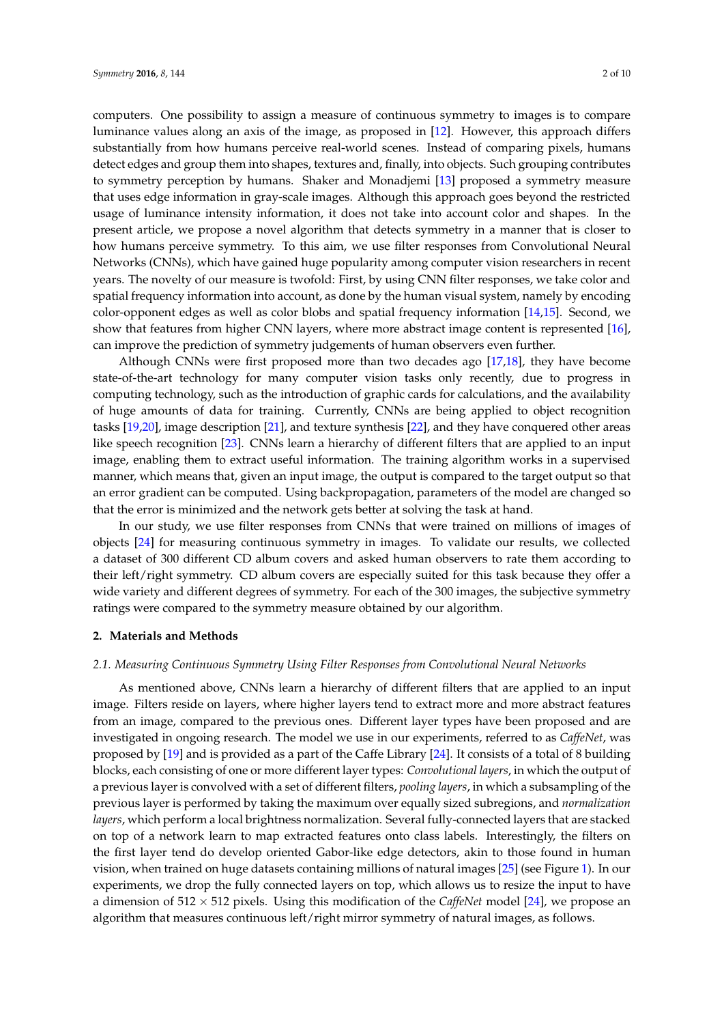computers. One possibility to assign a measure of continuous symmetry to images is to compare luminance values along an axis of the image, as proposed in [\[12\]](#page-8-9). However, this approach differs substantially from how humans perceive real-world scenes. Instead of comparing pixels, humans detect edges and group them into shapes, textures and, finally, into objects. Such grouping contributes to symmetry perception by humans. Shaker and Monadjemi [\[13\]](#page-8-10) proposed a symmetry measure that uses edge information in gray-scale images. Although this approach goes beyond the restricted usage of luminance intensity information, it does not take into account color and shapes. In the present article, we propose a novel algorithm that detects symmetry in a manner that is closer to how humans perceive symmetry. To this aim, we use filter responses from Convolutional Neural Networks (CNNs), which have gained huge popularity among computer vision researchers in recent years. The novelty of our measure is twofold: First, by using CNN filter responses, we take color and spatial frequency information into account, as done by the human visual system, namely by encoding color-opponent edges as well as color blobs and spatial frequency information [\[14](#page-8-11)[,15\]](#page-9-0). Second, we show that features from higher CNN layers, where more abstract image content is represented [\[16\]](#page-9-1), can improve the prediction of symmetry judgements of human observers even further.

Although CNNs were first proposed more than two decades ago [\[17,](#page-9-2)[18\]](#page-9-3), they have become state-of-the-art technology for many computer vision tasks only recently, due to progress in computing technology, such as the introduction of graphic cards for calculations, and the availability of huge amounts of data for training. Currently, CNNs are being applied to object recognition tasks [\[19,](#page-9-4)[20\]](#page-9-5), image description [\[21\]](#page-9-6), and texture synthesis [\[22\]](#page-9-7), and they have conquered other areas like speech recognition [\[23\]](#page-9-8). CNNs learn a hierarchy of different filters that are applied to an input image, enabling them to extract useful information. The training algorithm works in a supervised manner, which means that, given an input image, the output is compared to the target output so that an error gradient can be computed. Using backpropagation, parameters of the model are changed so that the error is minimized and the network gets better at solving the task at hand.

In our study, we use filter responses from CNNs that were trained on millions of images of objects [\[24\]](#page-9-9) for measuring continuous symmetry in images. To validate our results, we collected a dataset of 300 different CD album covers and asked human observers to rate them according to their left/right symmetry. CD album covers are especially suited for this task because they offer a wide variety and different degrees of symmetry. For each of the 300 images, the subjective symmetry ratings were compared to the symmetry measure obtained by our algorithm.

## **2. Materials and Methods**

#### <span id="page-1-0"></span>*2.1. Measuring Continuous Symmetry Using Filter Responses from Convolutional Neural Networks*

As mentioned above, CNNs learn a hierarchy of different filters that are applied to an input image. Filters reside on layers, where higher layers tend to extract more and more abstract features from an image, compared to the previous ones. Different layer types have been proposed and are investigated in ongoing research. The model we use in our experiments, referred to as *CaffeNet*, was proposed by [\[19\]](#page-9-4) and is provided as a part of the Caffe Library [\[24\]](#page-9-9). It consists of a total of 8 building blocks, each consisting of one or more different layer types: *Convolutional layers*, in which the output of a previous layer is convolved with a set of different filters, *pooling layers*, in which a subsampling of the previous layer is performed by taking the maximum over equally sized subregions, and *normalization layers*, which perform a local brightness normalization. Several fully-connected layers that are stacked on top of a network learn to map extracted features onto class labels. Interestingly, the filters on the first layer tend do develop oriented Gabor-like edge detectors, akin to those found in human vision, when trained on huge datasets containing millions of natural images [\[25\]](#page-9-10) (see Figure [1\)](#page-2-0). In our experiments, we drop the fully connected layers on top, which allows us to resize the input to have a dimension of 512 × 512 pixels. Using this modification of the *CaffeNet* model [\[24\]](#page-9-9), we propose an algorithm that measures continuous left/right mirror symmetry of natural images, as follows.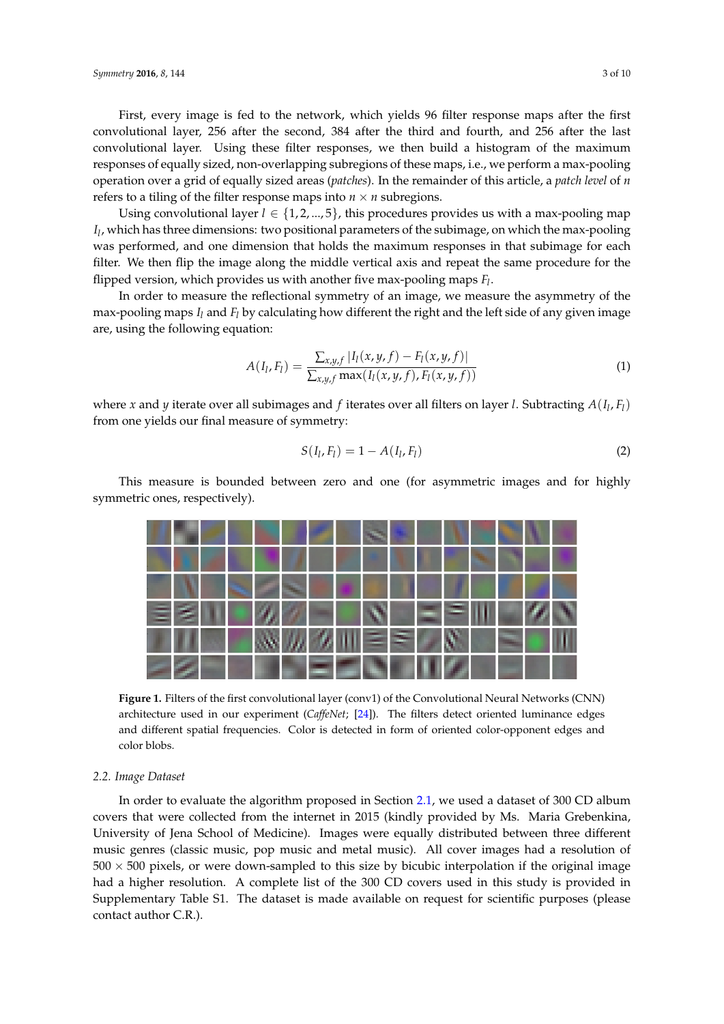First, every image is fed to the network, which yields 96 filter response maps after the first convolutional layer, 256 after the second, 384 after the third and fourth, and 256 after the last convolutional layer. Using these filter responses, we then build a histogram of the maximum responses of equally sized, non-overlapping subregions of these maps, i.e., we perform a max-pooling operation over a grid of equally sized areas (*patches*). In the remainder of this article, a *patch level* of *n* refers to a tiling of the filter response maps into  $n \times n$  subregions.

Using convolutional layer  $l \in \{1, 2, ..., 5\}$ , this procedures provides us with a max-pooling map *Il* , which has three dimensions: two positional parameters of the subimage, on which the max-pooling was performed, and one dimension that holds the maximum responses in that subimage for each filter. We then flip the image along the middle vertical axis and repeat the same procedure for the flipped version, which provides us with another five max-pooling maps *F<sup>l</sup>* .

In order to measure the reflectional symmetry of an image, we measure the asymmetry of the max-pooling maps  $I_l$  and  $F_l$  by calculating how different the right and the left side of any given image are, using the following equation:

$$
A(I_l, F_l) = \frac{\sum_{x,y,f} |I_l(x,y,f) - F_l(x,y,f)|}{\sum_{x,y,f} \max(I_l(x,y,f), F_l(x,y,f))}
$$
(1)

where *x* and *y* iterate over all subimages and *f* iterates over all filters on layer *l*. Subtracting  $A(I_l, F_l)$ from one yields our final measure of symmetry:

$$
S(I_l, F_l) = 1 - A(I_l, F_l)
$$
 (2)

This measure is bounded between zero and one (for asymmetric images and for highly symmetric ones, respectively).

<span id="page-2-0"></span>

Figure 1. Filters of the first convolutional layer (conv1) of the Convolutional Neural Networks (CNN) architecture used in our experiment (*CaffeNet*; [\[24\]](#page-9-9)). The filters detect oriented luminance edges and different spatial frequencies. Color is detected in form of oriented color-opponent edges and color blobs.

## *2.2. Image Dataset*

In order to evaluate the algorithm proposed in Section [2.1,](#page-1-0) we used a dataset of 300 CD album covers that were collected from the internet in 2015 (kindly provided by Ms. Maria Grebenkina, University of Jena School of Medicine). Images were equally distributed between three different music genres (classic music, pop music and metal music). All cover images had a resolution of  $500 \times 500$  pixels, or were down-sampled to this size by bicubic interpolation if the original image had a higher resolution. A complete list of the 300 CD covers used in this study is provided in Supplementary Table S1. The dataset is made available on request for scientific purposes (please contact author C.R.).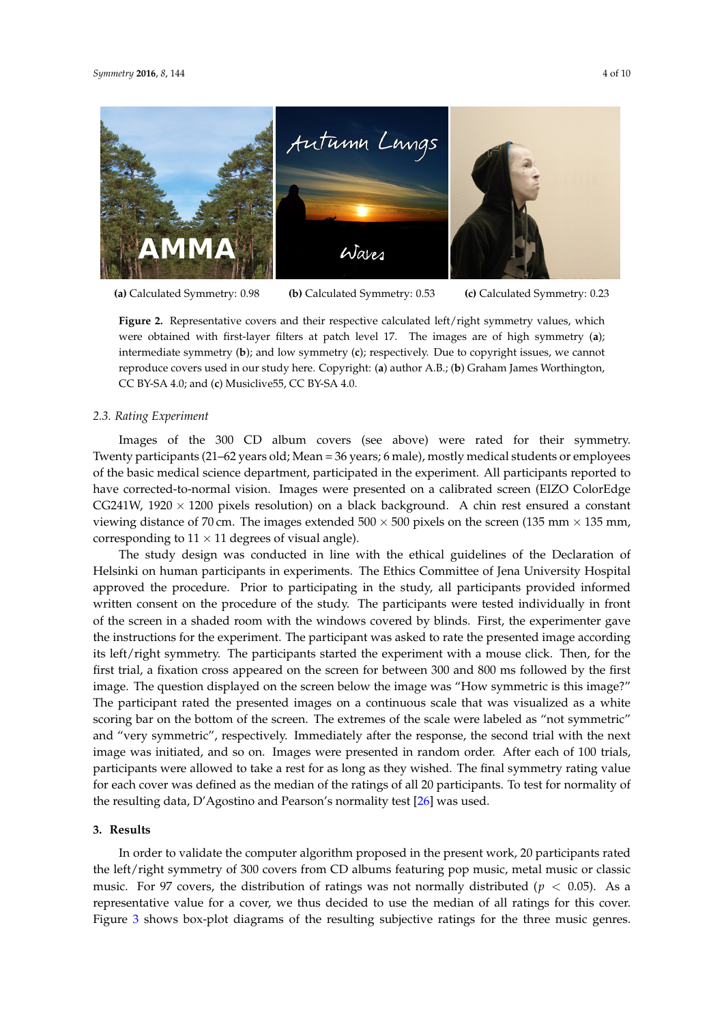<span id="page-3-0"></span>

**(a)** Calculated Symmetry: 0.98 **(b)** Calculated Symmetry: 0.53 **(c)** Calculated Symmetry: 0.23

**Figure 2.** Representative covers and their respective calculated left/right symmetry values, which were obtained with first-layer filters at patch level 17. The images are of high symmetry (**a**); intermediate symmetry (**b**); and low symmetry (**c**); respectively. Due to copyright issues, we cannot reproduce covers used in our study here. Copyright: (**a**) author A.B.; (**b**) Graham James Worthington, CC BY-SA 4.0; and (**c**) Musiclive55, CC BY-SA 4.0.

## *2.3. Rating Experiment*

Images of the 300 CD album covers (see above) were rated for their symmetry. Twenty participants (21–62 years old; Mean = 36 years; 6 male), mostly medical students or employees of the basic medical science department, participated in the experiment. All participants reported to have corrected-to-normal vision. Images were presented on a calibrated screen (EIZO ColorEdge CG241W, 1920  $\times$  1200 pixels resolution) on a black background. A chin rest ensured a constant viewing distance of 70 cm. The images extended  $500 \times 500$  pixels on the screen (135 mm  $\times$  135 mm, corresponding to  $11 \times 11$  degrees of visual angle).

The study design was conducted in line with the ethical guidelines of the Declaration of Helsinki on human participants in experiments. The Ethics Committee of Jena University Hospital approved the procedure. Prior to participating in the study, all participants provided informed written consent on the procedure of the study. The participants were tested individually in front of the screen in a shaded room with the windows covered by blinds. First, the experimenter gave the instructions for the experiment. The participant was asked to rate the presented image according its left/right symmetry. The participants started the experiment with a mouse click. Then, for the first trial, a fixation cross appeared on the screen for between 300 and 800 ms followed by the first image. The question displayed on the screen below the image was "How symmetric is this image?" The participant rated the presented images on a continuous scale that was visualized as a white scoring bar on the bottom of the screen. The extremes of the scale were labeled as "not symmetric" and "very symmetric", respectively. Immediately after the response, the second trial with the next image was initiated, and so on. Images were presented in random order. After each of 100 trials, participants were allowed to take a rest for as long as they wished. The final symmetry rating value for each cover was defined as the median of the ratings of all 20 participants. To test for normality of the resulting data, D'Agostino and Pearson's normality test [\[26\]](#page-9-11) was used.

### **3. Results**

In order to validate the computer algorithm proposed in the present work, 20 participants rated the left/right symmetry of 300 covers from CD albums featuring pop music, metal music or classic music. For 97 covers, the distribution of ratings was not normally distributed ( $p < 0.05$ ). As a representative value for a cover, we thus decided to use the median of all ratings for this cover. Figure [3](#page-4-0) shows box-plot diagrams of the resulting subjective ratings for the three music genres.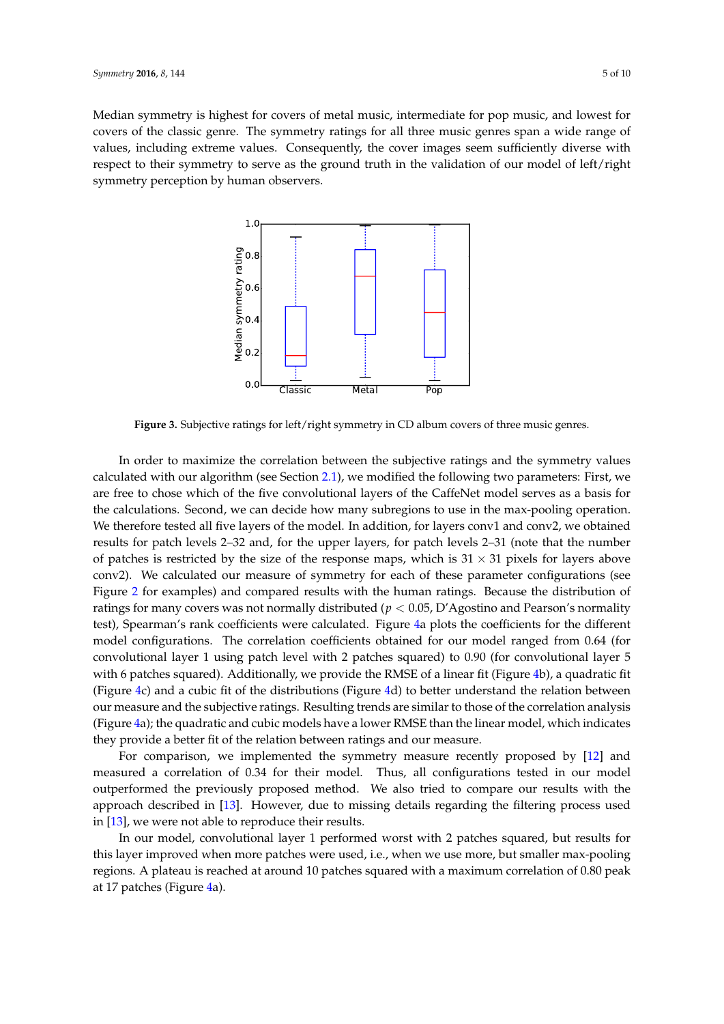<span id="page-4-0"></span>Median symmetry is highest for covers of metal music, intermediate for pop music, and lowest for covers of the classic genre. The symmetry ratings for all three music genres span a wide range of values, including extreme values. Consequently, the cover images seem sufficiently diverse with respect to their symmetry to serve as the ground truth in the validation of our model of left/right symmetry perception by human observers.



**Figure 3.** Subjective ratings for left/right symmetry in CD album covers of three music genres.

In order to maximize the correlation between the subjective ratings and the symmetry values calculated with our algorithm (see Section [2.1\)](#page-1-0), we modified the following two parameters: First, we are free to chose which of the five convolutional layers of the CaffeNet model serves as a basis for the calculations. Second, we can decide how many subregions to use in the max-pooling operation. We therefore tested all five layers of the model. In addition, for layers conv1 and conv2, we obtained results for patch levels 2–32 and, for the upper layers, for patch levels 2–31 (note that the number of patches is restricted by the size of the response maps, which is  $31 \times 31$  pixels for layers above conv2). We calculated our measure of symmetry for each of these parameter configurations (see Figure [2](#page-3-0) for examples) and compared results with the human ratings. Because the distribution of ratings for many covers was not normally distributed (*p* < 0.05, D'Agostino and Pearson's normality test), Spearman's rank coefficients were calculated. Figure [4a](#page-5-0) plots the coefficients for the different model configurations. The correlation coefficients obtained for our model ranged from 0.64 (for convolutional layer 1 using patch level with 2 patches squared) to 0.90 (for convolutional layer 5 with 6 patches squared). Additionally, we provide the RMSE of a linear fit (Figure [4b](#page-5-0)), a quadratic fit (Figure [4c](#page-5-0)) and a cubic fit of the distributions (Figure [4d](#page-5-0)) to better understand the relation between our measure and the subjective ratings. Resulting trends are similar to those of the correlation analysis (Figure [4a](#page-5-0)); the quadratic and cubic models have a lower RMSE than the linear model, which indicates they provide a better fit of the relation between ratings and our measure.

For comparison, we implemented the symmetry measure recently proposed by [\[12\]](#page-8-9) and measured a correlation of 0.34 for their model. Thus, all configurations tested in our model outperformed the previously proposed method. We also tried to compare our results with the approach described in [\[13\]](#page-8-10). However, due to missing details regarding the filtering process used in [\[13\]](#page-8-10), we were not able to reproduce their results.

In our model, convolutional layer 1 performed worst with 2 patches squared, but results for this layer improved when more patches were used, i.e., when we use more, but smaller max-pooling regions. A plateau is reached at around 10 patches squared with a maximum correlation of 0.80 peak at 17 patches (Figure [4a](#page-5-0)).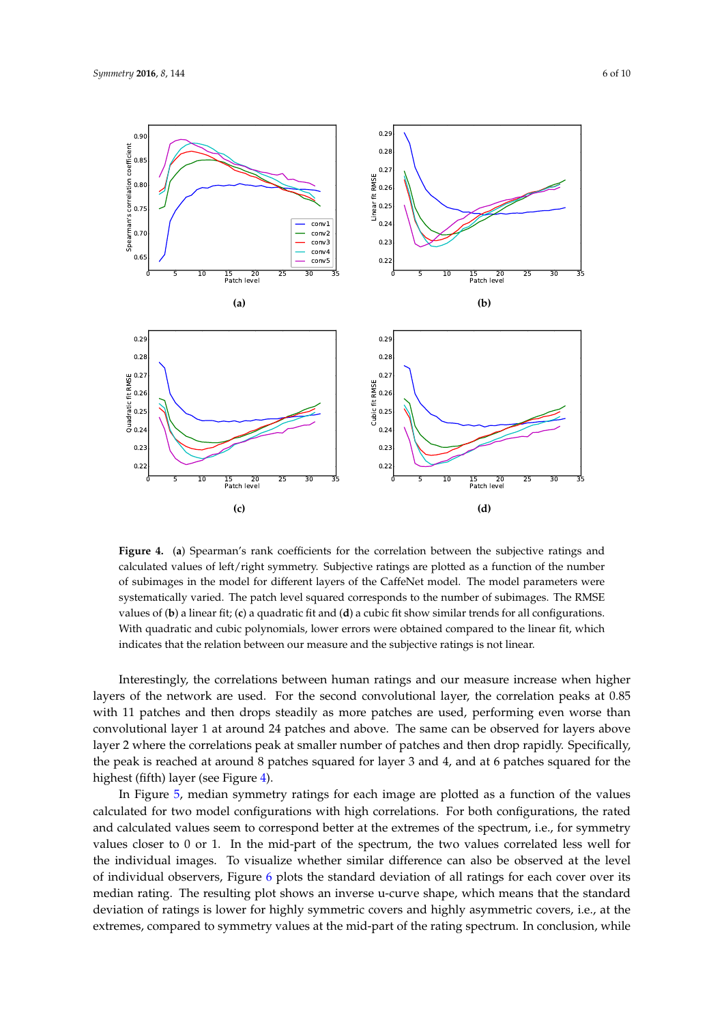<span id="page-5-0"></span>

**Figure 4.** (**a**) Spearman's rank coefficients for the correlation between the subjective ratings and calculated values of left/right symmetry. Subjective ratings are plotted as a function of the number of subimages in the model for different layers of the CaffeNet model. The model parameters were systematically varied. The patch level squared corresponds to the number of subimages. The RMSE values of (**b**) a linear fit; (**c**) a quadratic fit and (**d**) a cubic fit show similar trends for all configurations. With quadratic and cubic polynomials, lower errors were obtained compared to the linear fit, which indicates that the relation between our measure and the subjective ratings is not linear.

Interestingly, the correlations between human ratings and our measure increase when higher layers of the network are used. For the second convolutional layer, the correlation peaks at 0.85 with 11 patches and then drops steadily as more patches are used, performing even worse than convolutional layer 1 at around 24 patches and above. The same can be observed for layers above layer 2 where the correlations peak at smaller number of patches and then drop rapidly. Specifically, the peak is reached at around 8 patches squared for layer 3 and 4, and at 6 patches squared for the highest (fifth) layer (see Figure [4\)](#page-5-0).

In Figure [5,](#page-6-0) median symmetry ratings for each image are plotted as a function of the values calculated for two model configurations with high correlations. For both configurations, the rated and calculated values seem to correspond better at the extremes of the spectrum, i.e., for symmetry values closer to 0 or 1. In the mid-part of the spectrum, the two values correlated less well for the individual images. To visualize whether similar difference can also be observed at the level of individual observers, Figure [6](#page-6-1) plots the standard deviation of all ratings for each cover over its median rating. The resulting plot shows an inverse u-curve shape, which means that the standard deviation of ratings is lower for highly symmetric covers and highly asymmetric covers, i.e., at the extremes, compared to symmetry values at the mid-part of the rating spectrum. In conclusion, while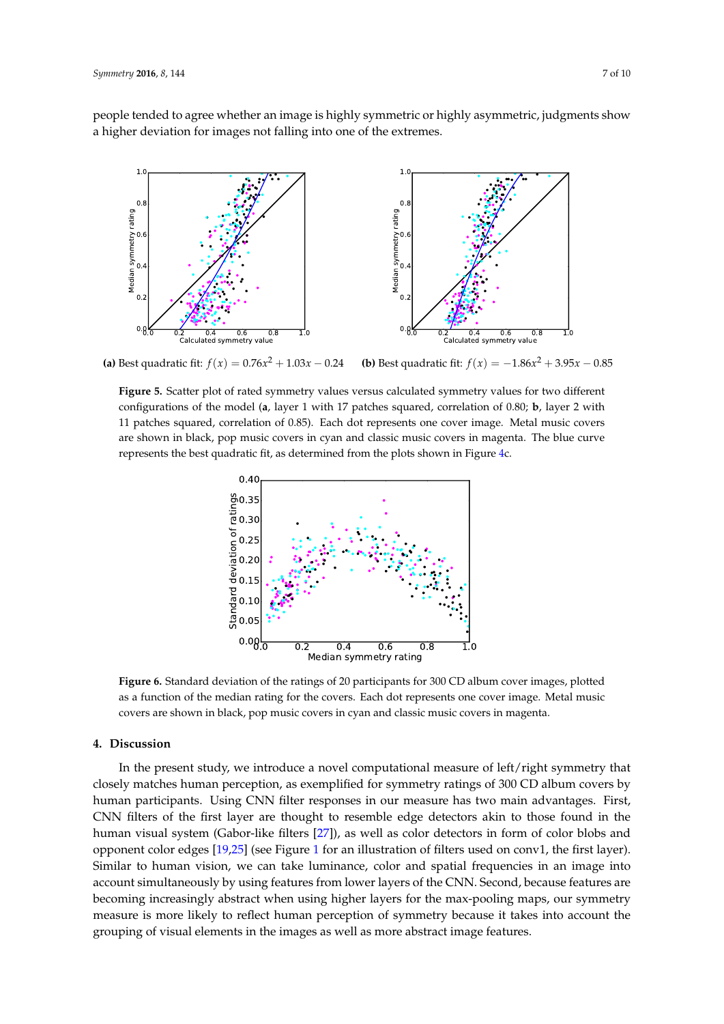people tended to agree whether an image is highly symmetric or highly asymmetric, judgments show a higher deviation for images not falling into one of the extremes.

<span id="page-6-0"></span>

**(a)** Best quadratic fit:  $f(x) = 0.76x^2 + 1.03x - 0.24$ **(b)** Best quadratic fit:  $f(x) = -1.86x^2 + 3.95x - 0.85$ 

<span id="page-6-1"></span>**Figure 5.** Scatter plot of rated symmetry values versus calculated symmetry values for two different configurations of the model (**a**, layer 1 with 17 patches squared, correlation of 0.80; **b**, layer 2 with 11 patches squared, correlation of 0.85). Each dot represents one cover image. Metal music covers are shown in black, pop music covers in cyan and classic music covers in magenta. The blue curve represents the best quadratic fit, as determined from the plots shown in Figure [4c](#page-5-0).



**Figure 6.** Standard deviation of the ratings of 20 participants for 300 CD album cover images, plotted as a function of the median rating for the covers. Each dot represents one cover image. Metal music covers are shown in black, pop music covers in cyan and classic music covers in magenta.

# **4. Discussion**

In the present study, we introduce a novel computational measure of left/right symmetry that closely matches human perception, as exemplified for symmetry ratings of 300 CD album covers by human participants. Using CNN filter responses in our measure has two main advantages. First, CNN filters of the first layer are thought to resemble edge detectors akin to those found in the human visual system (Gabor-like filters [\[27\]](#page-9-12)), as well as color detectors in form of color blobs and opponent color edges [\[19,](#page-9-4)[25\]](#page-9-10) (see Figure [1](#page-2-0) for an illustration of filters used on conv1, the first layer). Similar to human vision, we can take luminance, color and spatial frequencies in an image into account simultaneously by using features from lower layers of the CNN. Second, because features are becoming increasingly abstract when using higher layers for the max-pooling maps, our symmetry measure is more likely to reflect human perception of symmetry because it takes into account the grouping of visual elements in the images as well as more abstract image features.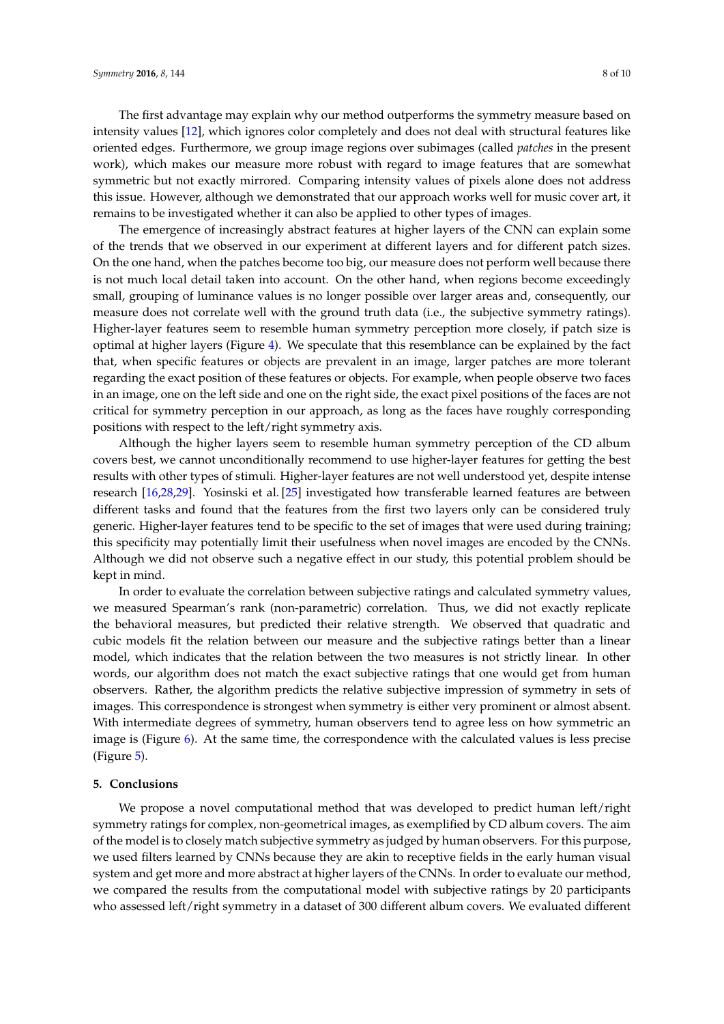The first advantage may explain why our method outperforms the symmetry measure based on intensity values [\[12\]](#page-8-9), which ignores color completely and does not deal with structural features like oriented edges. Furthermore, we group image regions over subimages (called *patches* in the present work), which makes our measure more robust with regard to image features that are somewhat symmetric but not exactly mirrored. Comparing intensity values of pixels alone does not address this issue. However, although we demonstrated that our approach works well for music cover art, it remains to be investigated whether it can also be applied to other types of images.

The emergence of increasingly abstract features at higher layers of the CNN can explain some of the trends that we observed in our experiment at different layers and for different patch sizes. On the one hand, when the patches become too big, our measure does not perform well because there is not much local detail taken into account. On the other hand, when regions become exceedingly small, grouping of luminance values is no longer possible over larger areas and, consequently, our measure does not correlate well with the ground truth data (i.e., the subjective symmetry ratings). Higher-layer features seem to resemble human symmetry perception more closely, if patch size is optimal at higher layers (Figure [4\)](#page-5-0). We speculate that this resemblance can be explained by the fact that, when specific features or objects are prevalent in an image, larger patches are more tolerant regarding the exact position of these features or objects. For example, when people observe two faces in an image, one on the left side and one on the right side, the exact pixel positions of the faces are not critical for symmetry perception in our approach, as long as the faces have roughly corresponding positions with respect to the left/right symmetry axis.

Although the higher layers seem to resemble human symmetry perception of the CD album covers best, we cannot unconditionally recommend to use higher-layer features for getting the best results with other types of stimuli. Higher-layer features are not well understood yet, despite intense research [\[16](#page-9-1)[,28](#page-9-13)[,29\]](#page-9-14). Yosinski et al. [\[25\]](#page-9-10) investigated how transferable learned features are between different tasks and found that the features from the first two layers only can be considered truly generic. Higher-layer features tend to be specific to the set of images that were used during training; this specificity may potentially limit their usefulness when novel images are encoded by the CNNs. Although we did not observe such a negative effect in our study, this potential problem should be kept in mind.

In order to evaluate the correlation between subjective ratings and calculated symmetry values, we measured Spearman's rank (non-parametric) correlation. Thus, we did not exactly replicate the behavioral measures, but predicted their relative strength. We observed that quadratic and cubic models fit the relation between our measure and the subjective ratings better than a linear model, which indicates that the relation between the two measures is not strictly linear. In other words, our algorithm does not match the exact subjective ratings that one would get from human observers. Rather, the algorithm predicts the relative subjective impression of symmetry in sets of images. This correspondence is strongest when symmetry is either very prominent or almost absent. With intermediate degrees of symmetry, human observers tend to agree less on how symmetric an image is (Figure [6\)](#page-6-1). At the same time, the correspondence with the calculated values is less precise (Figure [5\)](#page-6-0).

#### **5. Conclusions**

We propose a novel computational method that was developed to predict human left/right symmetry ratings for complex, non-geometrical images, as exemplified by CD album covers. The aim of the model is to closely match subjective symmetry as judged by human observers. For this purpose, we used filters learned by CNNs because they are akin to receptive fields in the early human visual system and get more and more abstract at higher layers of the CNNs. In order to evaluate our method, we compared the results from the computational model with subjective ratings by 20 participants who assessed left/right symmetry in a dataset of 300 different album covers. We evaluated different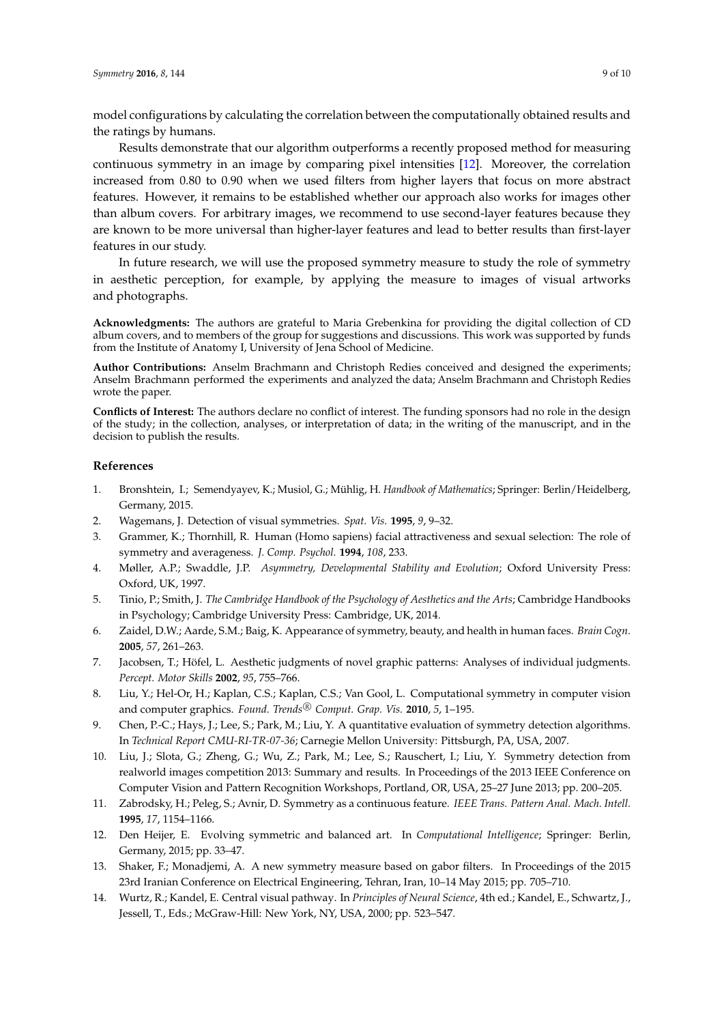model configurations by calculating the correlation between the computationally obtained results and the ratings by humans.

Results demonstrate that our algorithm outperforms a recently proposed method for measuring continuous symmetry in an image by comparing pixel intensities [\[12\]](#page-8-9). Moreover, the correlation increased from 0.80 to 0.90 when we used filters from higher layers that focus on more abstract features. However, it remains to be established whether our approach also works for images other than album covers. For arbitrary images, we recommend to use second-layer features because they are known to be more universal than higher-layer features and lead to better results than first-layer features in our study.

In future research, we will use the proposed symmetry measure to study the role of symmetry in aesthetic perception, for example, by applying the measure to images of visual artworks and photographs.

**Acknowledgments:** The authors are grateful to Maria Grebenkina for providing the digital collection of CD album covers, and to members of the group for suggestions and discussions. This work was supported by funds from the Institute of Anatomy I, University of Jena School of Medicine.

**Author Contributions:** Anselm Brachmann and Christoph Redies conceived and designed the experiments; Anselm Brachmann performed the experiments and analyzed the data; Anselm Brachmann and Christoph Redies wrote the paper.

**Conflicts of Interest:** The authors declare no conflict of interest. The funding sponsors had no role in the design of the study; in the collection, analyses, or interpretation of data; in the writing of the manuscript, and in the decision to publish the results.

#### **References**

- <span id="page-8-0"></span>1. Bronshtein, I.; Semendyayev, K.; Musiol, G.; Mühlig, H. *Handbook of Mathematics*; Springer: Berlin/Heidelberg, Germany, 2015.
- <span id="page-8-1"></span>2. Wagemans, J. Detection of visual symmetries. *Spat. Vis.* **1995**, *9*, 9–32.
- <span id="page-8-2"></span>3. Grammer, K.; Thornhill, R. Human (Homo sapiens) facial attractiveness and sexual selection: The role of symmetry and averageness. *J. Comp. Psychol.* **1994**, *108*, 233.
- <span id="page-8-3"></span>4. Møller, A.P.; Swaddle, J.P. *Asymmetry, Developmental Stability and Evolution*; Oxford University Press: Oxford, UK, 1997.
- 5. Tinio, P.; Smith, J. *The Cambridge Handbook of the Psychology of Aesthetics and the Arts*; Cambridge Handbooks in Psychology; Cambridge University Press: Cambridge, UK, 2014.
- <span id="page-8-4"></span>6. Zaidel, D.W.; Aarde, S.M.; Baig, K. Appearance of symmetry, beauty, and health in human faces. *Brain Cogn.* **2005**, *57*, 261–263.
- <span id="page-8-5"></span>7. Jacobsen, T.; Höfel, L. Aesthetic judgments of novel graphic patterns: Analyses of individual judgments. *Percept. Motor Skills* **2002**, *95*, 755–766.
- <span id="page-8-6"></span>8. Liu, Y.; Hel-Or, H.; Kaplan, C.S.; Kaplan, C.S.; Van Gool, L. Computational symmetry in computer vision and computer graphics. Found. Trends<sup>®</sup> Comput. Grap. Vis. 2010, 5, 1-195.
- 9. Chen, P.-C.; Hays, J.; Lee, S.; Park, M.; Liu, Y. A quantitative evaluation of symmetry detection algorithms. In *Technical Report CMU-RI-TR-07-36*; Carnegie Mellon University: Pittsburgh, PA, USA, 2007.
- <span id="page-8-7"></span>10. Liu, J.; Slota, G.; Zheng, G.; Wu, Z.; Park, M.; Lee, S.; Rauschert, I.; Liu, Y. Symmetry detection from realworld images competition 2013: Summary and results. In Proceedings of the 2013 IEEE Conference on Computer Vision and Pattern Recognition Workshops, Portland, OR, USA, 25–27 June 2013; pp. 200–205.
- <span id="page-8-8"></span>11. Zabrodsky, H.; Peleg, S.; Avnir, D. Symmetry as a continuous feature. *IEEE Trans. Pattern Anal. Mach. Intell.* **1995**, *17*, 1154–1166.
- <span id="page-8-9"></span>12. Den Heijer, E. Evolving symmetric and balanced art. In *Computational Intelligence*; Springer: Berlin, Germany, 2015; pp. 33–47.
- <span id="page-8-10"></span>13. Shaker, F.; Monadjemi, A. A new symmetry measure based on gabor filters. In Proceedings of the 2015 23rd Iranian Conference on Electrical Engineering, Tehran, Iran, 10–14 May 2015; pp. 705–710.
- <span id="page-8-11"></span>14. Wurtz, R.; Kandel, E. Central visual pathway. In *Principles of Neural Science*, 4th ed.; Kandel, E., Schwartz, J., Jessell, T., Eds.; McGraw-Hill: New York, NY, USA, 2000; pp. 523–547.